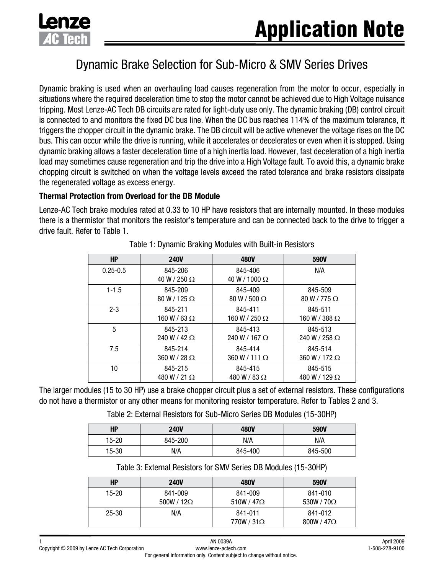

# Dynamic Brake Selection for Sub-Micro & SMV Series Drives

Dynamic braking is used when an overhauling load causes regeneration from the motor to occur, especially in situations where the required deceleration time to stop the motor cannot be achieved due to High Voltage nuisance tripping. Most Lenze-AC Tech DB circuits are rated for light-duty use only. The dynamic braking (DB) control circuit is connected to and monitors the fixed DC bus line. When the DC bus reaches 114% of the maximum tolerance, it triggers the chopper circuit in the dynamic brake. The DB circuit will be active whenever the voltage rises on the DC bus. This can occur while the drive is running, while it accelerates or decelerates or even when it is stopped. Using dynamic braking allows a faster deceleration time of a high inertia load. However, fast deceleration of a high inertia load may sometimes cause regeneration and trip the drive into a High Voltage fault. To avoid this, a dynamic brake chopping circuit is switched on when the voltage levels exceed the rated tolerance and brake resistors dissipate the regenerated voltage as excess energy.

#### **Thermal Protection from Overload for the DB Module**

Lenze-AC Tech brake modules rated at 0.33 to 10 HP have resistors that are internally mounted. In these modules there is a thermistor that monitors the resistor's temperature and can be connected back to the drive to trigger a drive fault. Refer to Table 1.

| <b>HP</b>    | <b>240V</b>                    | <b>480V</b>                   | 590V                 |
|--------------|--------------------------------|-------------------------------|----------------------|
| $0.25 - 0.5$ | 845-206<br>40 W / 250 $\Omega$ | 845-406<br>$40 W/1000 \Omega$ | N/A                  |
| $1 - 1.5$    | 845-209                        | 845-409                       | 845-509              |
|              | $80 W/125 \Omega$              | $80 W / 500 \Omega$           | $80 W/775 \Omega$    |
| $2 - 3$      | 845-211                        | 845-411                       | 845-511              |
|              | 160 W / 63 $\Omega$            | 160 W / 250 $\Omega$          | 160 W / 388 $\Omega$ |
| 5            | 845-213                        | 845-413                       | 845-513              |
|              | 240 W / 42 $\Omega$            | 240 W / 167 $\Omega$          | 240 W / 258 $\Omega$ |
| 7.5          | 845-214                        | 845-414                       | 845-514              |
|              | $360 W/28 \Omega$              | $360 W/111 \Omega$            | $360 W/172 \Omega$   |
| 10           | 845-215                        | 845-415                       | 845-515              |
|              | 480 W / 21 $\Omega$            | 480 W / 83 $\Omega$           | 480 W / 129 $\Omega$ |

Table 1: Dynamic Braking Modules with Built-in Resistors

The larger modules (15 to 30 HP) use a brake chopper circuit plus a set of external resistors. These configurations do not have a thermistor or any other means for monitoring resistor temperature. Refer to Tables 2 and 3.

Table 2: External Resistors for Sub-Micro Series DB Modules (15-30HP)

| ΗP        | <b>240V</b> | <b>480V</b> | <b>590V</b> |
|-----------|-------------|-------------|-------------|
| $15 - 20$ | 845-200     | N/A         | N/A         |
| $15 - 30$ | N/A         | 845-400     | 845-500     |

Table 3: External Resistors for SMV Series DB Modules (15-30HP)

| HP        | <b>240V</b>                | <b>480V</b>                   | 590V                         |
|-----------|----------------------------|-------------------------------|------------------------------|
| 15-20     | 841-009<br>$500W/12\Omega$ | 841-009<br>510W / 47 $\Omega$ | 841-010<br>530W / $70\Omega$ |
| $25 - 30$ | N/A                        | 841-011<br>$770W/31\Omega$    | 841-012<br>$800W/47\Omega$   |